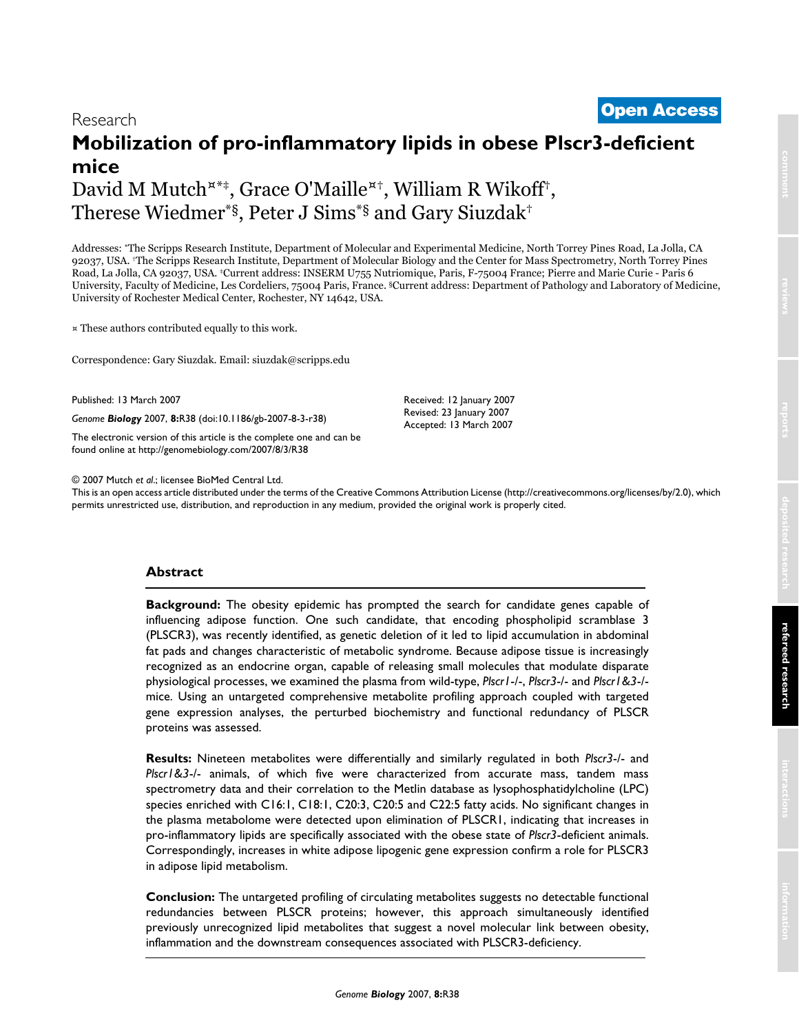# <sup>2007</sup> Mutch et al. Volume 8, Issue 3, Article R38 **[Open Access](http://www.biomedcentral.com/info/about/charter/)** Research

# **Mobilization of pro-inflammatory lipids in obese Plscr3-deficient mice**

David M Mutch<sup>x\*†</sup>, Grace O'Maille<sup>x†</sup>, William R Wikoff<sup>†</sup>, Therese Wiedmer\*§, Peter J Sims\*§ and Gary Siuzdak†

Addresses: \*The Scripps Research Institute, Department of Molecular and Experimental Medicine, North Torrey Pines Road, La Jolla, CA 92037, USA. †The Scripps Research Institute, Department of Molecular Biology and the Center for Mass Spectrometry, North Torrey Pines Road, La Jolla, CA 92037, USA. ‡Current address: INSERM U755 Nutriomique, Paris, F-75004 France; Pierre and Marie Curie - Paris 6 University, Faculty of Medicine, Les Cordeliers, 75004 Paris, France. §Current address: Department of Pathology and Laboratory of Medicine, University of Rochester Medical Center, Rochester, NY 14642, USA.

¤ These authors contributed equally to this work.

Correspondence: Gary Siuzdak. Email: siuzdak@scripps.edu

Published: 13 March 2007

*Genome Biology* 2007, **8:**R38 (doi:10.1186/gb-2007-8-3-r38)

[The electronic version of this article is the complete one and can be](http://genomebiology.com/2007/8/3/R38)  found online at http://genomebiology.com/2007/8/3/R38

© 2007 Mutch *et al*.; licensee BioMed Central Ltd.

[This is an open access article distributed under the terms of the Creative Commons Attribution License \(http://creativecommons.org/licenses/by/2.0\), which](http://creativecommons.org/licenses/by/2.0)  permits unrestricted use, distribution, and reproduction in any medium, provided the original work is properly cited.

Received: 12 January 2007 Revised: 23 January 2007 Accepted: 13 March 2007

# **Abstract**

**Background:** The obesity epidemic has prompted the search for candidate genes capable of influencing adipose function. One such candidate, that encoding phospholipid scramblase 3 (PLSCR3), was recently identified, as genetic deletion of it led to lipid accumulation in abdominal fat pads and changes characteristic of metabolic syndrome. Because adipose tissue is increasingly recognized as an endocrine organ, capable of releasing small molecules that modulate disparate physiological processes, we examined the plasma from wild-type, *Plscr1*-/-, *Plscr3*-/- and *Plscr1&3*-/ mice. Using an untargeted comprehensive metabolite profiling approach coupled with targeted gene expression analyses, the perturbed biochemistry and functional redundancy of PLSCR proteins was assessed.

**Results:** Nineteen metabolites were differentially and similarly regulated in both *Plscr3*-/- and *Plscr1&3*-/- animals, of which five were characterized from accurate mass, tandem mass spectrometry data and their correlation to the Metlin database as lysophosphatidylcholine (LPC) species enriched with C16:1, C18:1, C20:3, C20:5 and C22:5 fatty acids. No significant changes in the plasma metabolome were detected upon elimination of PLSCR1, indicating that increases in pro-inflammatory lipids are specifically associated with the obese state of *Plscr3*-deficient animals. Correspondingly, increases in white adipose lipogenic gene expression confirm a role for PLSCR3 in adipose lipid metabolism.

**Conclusion:** The untargeted profiling of circulating metabolites suggests no detectable functional redundancies between PLSCR proteins; however, this approach simultaneously identified previously unrecognized lipid metabolites that suggest a novel molecular link between obesity, inflammation and the downstream consequences associated with PLSCR3-deficiency.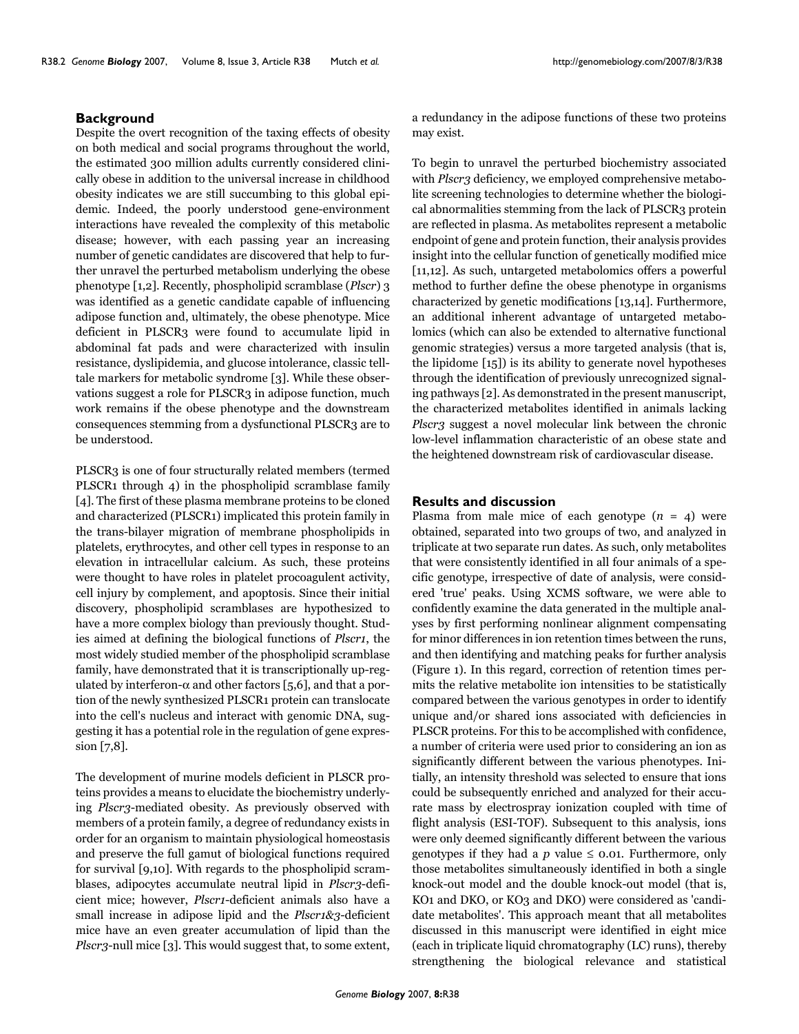#### **Background**

Despite the overt recognition of the taxing effects of obesity on both medical and social programs throughout the world, the estimated 300 million adults currently considered clinically obese in addition to the universal increase in childhood obesity indicates we are still succumbing to this global epidemic. Indeed, the poorly understood gene-environment interactions have revealed the complexity of this metabolic disease; however, with each passing year an increasing number of genetic candidates are discovered that help to further unravel the perturbed metabolism underlying the obese phenotype [1,2]. Recently, phospholipid scramblase (*Plscr*) 3 was identified as a genetic candidate capable of influencing adipose function and, ultimately, the obese phenotype. Mice deficient in PLSCR3 were found to accumulate lipid in abdominal fat pads and were characterized with insulin resistance, dyslipidemia, and glucose intolerance, classic telltale markers for metabolic syndrome [3]. While these observations suggest a role for PLSCR3 in adipose function, much work remains if the obese phenotype and the downstream consequences stemming from a dysfunctional PLSCR3 are to be understood.

PLSCR3 is one of four structurally related members (termed PLSCR1 through 4) in the phospholipid scramblase family [4]. The first of these plasma membrane proteins to be cloned and characterized (PLSCR1) implicated this protein family in the trans-bilayer migration of membrane phospholipids in platelets, erythrocytes, and other cell types in response to an elevation in intracellular calcium. As such, these proteins were thought to have roles in platelet procoagulent activity, cell injury by complement, and apoptosis. Since their initial discovery, phospholipid scramblases are hypothesized to have a more complex biology than previously thought. Studies aimed at defining the biological functions of *Plscr1*, the most widely studied member of the phospholipid scramblase family, have demonstrated that it is transcriptionally up-regulated by interferon- $\alpha$  and other factors [5,6], and that a portion of the newly synthesized PLSCR1 protein can translocate into the cell's nucleus and interact with genomic DNA, suggesting it has a potential role in the regulation of gene expression [7,8].

The development of murine models deficient in PLSCR proteins provides a means to elucidate the biochemistry underlying *Plscr3*-mediated obesity. As previously observed with members of a protein family, a degree of redundancy exists in order for an organism to maintain physiological homeostasis and preserve the full gamut of biological functions required for survival [9,10]. With regards to the phospholipid scramblases, adipocytes accumulate neutral lipid in *Plscr3*-deficient mice; however, *Plscr1*-deficient animals also have a small increase in adipose lipid and the *Plscr1&3*-deficient mice have an even greater accumulation of lipid than the *Plscr3*-null mice [3]. This would suggest that, to some extent,

a redundancy in the adipose functions of these two proteins may exist.

To begin to unravel the perturbed biochemistry associated with *Plscr3* deficiency, we employed comprehensive metabolite screening technologies to determine whether the biological abnormalities stemming from the lack of PLSCR3 protein are reflected in plasma. As metabolites represent a metabolic endpoint of gene and protein function, their analysis provides insight into the cellular function of genetically modified mice [11,12]. As such, untargeted metabolomics offers a powerful method to further define the obese phenotype in organisms characterized by genetic modifications [13,14]. Furthermore, an additional inherent advantage of untargeted metabolomics (which can also be extended to alternative functional genomic strategies) versus a more targeted analysis (that is, the lipidome [15]) is its ability to generate novel hypotheses through the identification of previously unrecognized signaling pathways [2]. As demonstrated in the present manuscript, the characterized metabolites identified in animals lacking *Plscr3* suggest a novel molecular link between the chronic low-level inflammation characteristic of an obese state and the heightened downstream risk of cardiovascular disease.

# **Results and discussion**

Plasma from male mice of each genotype  $(n = 4)$  were obtained, separated into two groups of two, and analyzed in triplicate at two separate run dates. As such, only metabolites that were consistently identified in all four animals of a specific genotype, irrespective of date of analysis, were considered 'true' peaks. Using XCMS software, we were able to confidently examine the data generated in the multiple analyses by first performing nonlinear alignment compensating for minor differences in ion retention times between the runs, and then identifying and matching peaks for further analysis (Figure 1). In this regard, correction of retention times permits the relative metabolite ion intensities to be statistically compared between the various genotypes in order to identify unique and/or shared ions associated with deficiencies in PLSCR proteins. For this to be accomplished with confidence, a number of criteria were used prior to considering an ion as significantly different between the various phenotypes. Initially, an intensity threshold was selected to ensure that ions could be subsequently enriched and analyzed for their accurate mass by electrospray ionization coupled with time of flight analysis (ESI-TOF). Subsequent to this analysis, ions were only deemed significantly different between the various genotypes if they had a  $p$  value  $\leq$  0.01. Furthermore, only those metabolites simultaneously identified in both a single knock-out model and the double knock-out model (that is, KO<sub>1</sub> and DKO, or KO<sub>3</sub> and DKO) were considered as 'candidate metabolites'. This approach meant that all metabolites discussed in this manuscript were identified in eight mice (each in triplicate liquid chromatography (LC) runs), thereby strengthening the biological relevance and statistical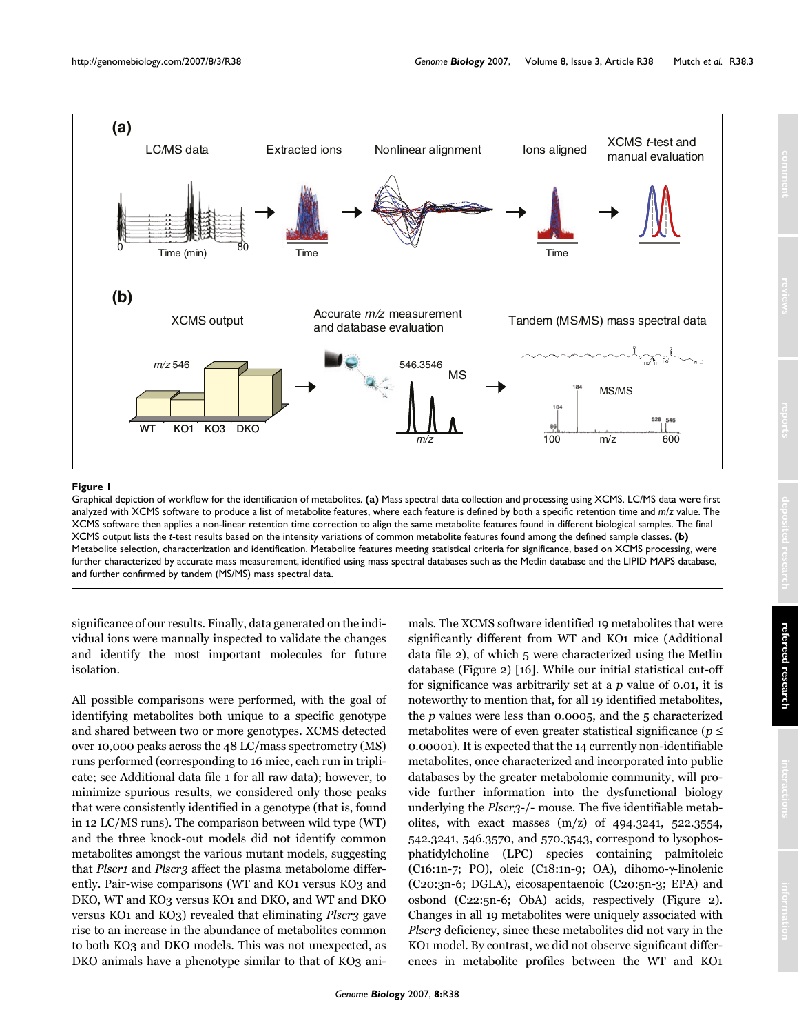

#### Graphical depiction of workflow for the identification of metabolites **Figure 1**

Graphical depiction of workflow for the identification of metabolites. **(a)** Mass spectral data collection and processing using XCMS. LC/MS data were first analyzed with XCMS software to produce a list of metabolite features, where each feature is defined by both a specific retention time and *m/z* value. The XCMS software then applies a non-linear retention time correction to align the same metabolite features found in different biological samples. The final XCMS output lists the *t*-test results based on the intensity variations of common metabolite features found among the defined sample classes. **(b)**  Metabolite selection, characterization and identification. Metabolite features meeting statistical criteria for significance, based on XCMS processing, were further characterized by accurate mass measurement, identified using mass spectral databases such as the Metlin database and the LIPID MAPS database, and further confirmed by tandem (MS/MS) mass spectral data.

significance of our results. Finally, data generated on the individual ions were manually inspected to validate the changes and identify the most important molecules for future isolation.

All possible comparisons were performed, with the goal of identifying metabolites both unique to a specific genotype and shared between two or more genotypes. XCMS detected over 10,000 peaks across the 48 LC/mass spectrometry (MS) runs performed (corresponding to 16 mice, each run in triplicate; see Additional data file 1 for all raw data); however, to minimize spurious results, we considered only those peaks that were consistently identified in a genotype (that is, found in 12 LC/MS runs). The comparison between wild type (WT) and the three knock-out models did not identify common metabolites amongst the various mutant models, suggesting that *Plscr1* and *Plscr3* affect the plasma metabolome differently. Pair-wise comparisons (WT and KO1 versus KO3 and DKO, WT and KO3 versus KO1 and DKO, and WT and DKO versus KO1 and KO3) revealed that eliminating *Plscr3* gave rise to an increase in the abundance of metabolites common to both KO3 and DKO models. This was not unexpected, as DKO animals have a phenotype similar to that of KO3 animals. The XCMS software identified 19 metabolites that were significantly different from WT and KO1 mice (Additional data file 2), of which 5 were characterized using the Metlin database (Figure 2) [16]. While our initial statistical cut-off for significance was arbitrarily set at a *p* value of 0.01, it is noteworthy to mention that, for all 19 identified metabolites, the *p* values were less than 0.0005, and the 5 characterized metabolites were of even greater statistical significance (*p* ≤ 0.00001). It is expected that the 14 currently non-identifiable metabolites, once characterized and incorporated into public databases by the greater metabolomic community, will provide further information into the dysfunctional biology underlying the *Plscr3*-/- mouse. The five identifiable metabolites, with exact masses  $(m/z)$  of 494.3241, 522.3554, 542.3241, 546.3570, and 570.3543, correspond to lysophosphatidylcholine (LPC) species containing palmitoleic (C16:1n-7; PO), oleic (C18:1n-9; OA), dihomo-γ-linolenic (C20:3n-6; DGLA), eicosapentaenoic (C20:5n-3; EPA) and osbond (C22:5n-6; ObA) acids, respectively (Figure 2). Changes in all 19 metabolites were uniquely associated with *Plscr3* deficiency, since these metabolites did not vary in the KO1 model. By contrast, we did not observe significant differences in metabolite profiles between the WT and KO1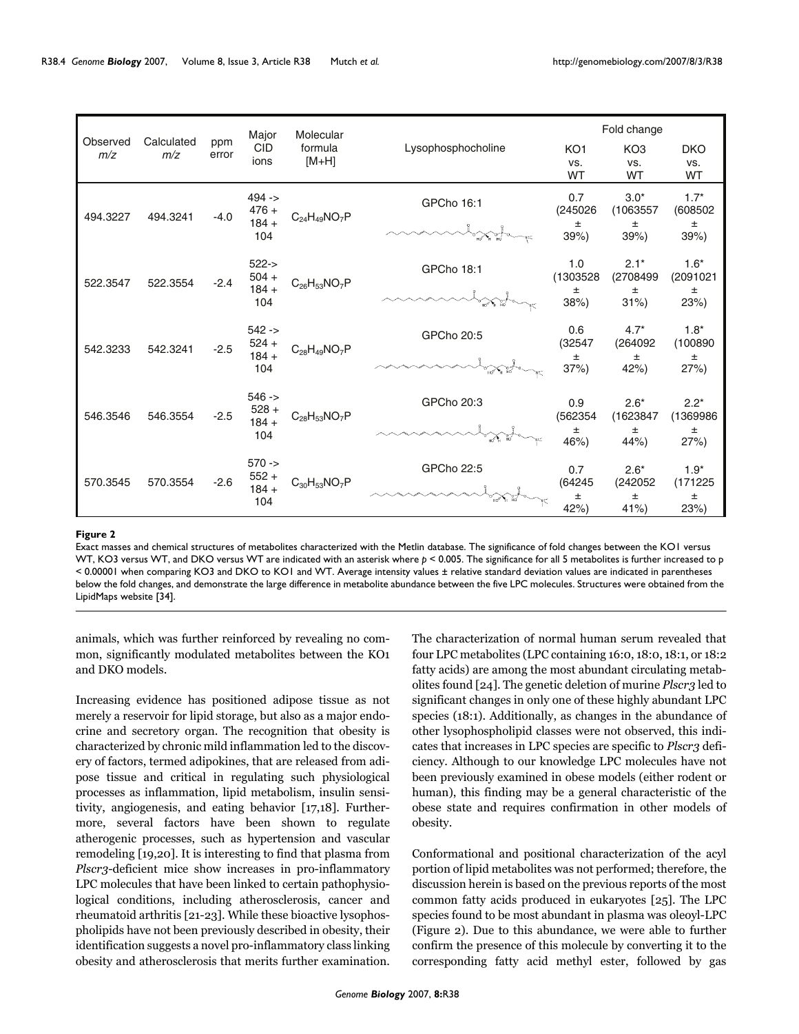|                 |                   |              | Major                                  | Molecular             |                    | Fold change      |                     |                    |
|-----------------|-------------------|--------------|----------------------------------------|-----------------------|--------------------|------------------|---------------------|--------------------|
| Observed<br>m/z | Calculated<br>m/z | ppm<br>error | <b>CID</b><br>ions                     | formula<br>$[M+H]$    | Lysophosphocholine | KO <sub>1</sub>  | KO <sub>3</sub>     | <b>DKO</b>         |
|                 |                   |              |                                        |                       |                    | VS.<br><b>WT</b> | VS.<br><b>WT</b>    | VS.<br>WT          |
| 494.3227        | 494.3241          | $-4.0$       | $494 -$<br>$476 +$<br>$184 +$<br>104   | $C_{24}H_{49}NO_7P$   | GPCho 16:1         | 0.7<br>(245026)  | $3.0*$<br>(1063557) | $1.7*$<br>(608502) |
|                 |                   |              |                                        |                       |                    | $\pm$<br>39%     | $\pm$<br>39%        | $\pm$<br>39%       |
| 522.3547        | 522.3554          | $-2.4$       | $522 - >$<br>$504 +$<br>$184 +$<br>104 | $C_{26}H_{53}NO_{7}P$ | GPCho 18:1         | 1.0<br>(1303528  | $2.1*$<br>(2708499  | $1.6*$<br>(2091021 |
|                 |                   |              |                                        |                       |                    | $\pm$<br>38%     | $\pm$<br>$31\%$     | $\pm$<br>23%)      |
| 542.3233        | 542.3241          | $-2.5$       | $542 -$<br>$524 +$<br>$184 +$<br>104   | $C_{28}H_{49}NO_7P$   | GPCho 20:5         | 0.6<br>(32547)   | $4.7*$<br>(264092   | $1.8*$<br>(100890  |
|                 |                   |              |                                        |                       |                    | $\pm$<br>37%     | $\pm$<br>42%)       | $\pm$<br>27%       |
|                 |                   |              | $546 -$                                |                       | GPCho 20:3         | 0.9              | $2.6*$              | $2.2*$             |
| 546.3546        | 546.3554          | $-2.5$       | $528 +$<br>$184 +$<br>104              | $C_{28}H_{53}NO_7P$   |                    | (562354          | (1623847            | (1369986           |
|                 |                   |              |                                        |                       |                    | $\pm$<br>46%)    | $\pm$<br>44%        | $\pm$<br>27%       |
| 570.3545        | 570.3554          | $-2.6$       | $570 -$<br>$552 +$<br>$184 +$<br>104   | $C_{30}H_{53}NO_7P$   | GPCho 22:5         | 0.7              | $2.6*$              | $1.9*$             |
|                 |                   |              |                                        |                       |                    | (64245)<br>$\pm$ | (242052)<br>$\pm$   | (171225<br>$\pm$   |
|                 |                   |              |                                        |                       |                    | 42%              | 41%                 | 23%                |

#### Exact masses and chemical structures of metabolites characterized with the Metlin database **Figure 2**

Exact masses and chemical structures of metabolites characterized with the Metlin database. The significance of fold changes between the KO1 versus WT, KO3 versus WT, and DKO versus WT are indicated with an asterisk where *p* < 0.005. The significance for all 5 metabolites is further increased to p < 0.00001 when comparing KO3 and DKO to KO1 and WT. Average intensity values ± relative standard deviation values are indicated in parentheses below the fold changes, and demonstrate the large difference in metabolite abundance between the five LPC molecules. Structures were obtained from the LipidMaps website [34].

animals, which was further reinforced by revealing no common, significantly modulated metabolites between the KO1 and DKO models.

Increasing evidence has positioned adipose tissue as not merely a reservoir for lipid storage, but also as a major endocrine and secretory organ. The recognition that obesity is characterized by chronic mild inflammation led to the discovery of factors, termed adipokines, that are released from adipose tissue and critical in regulating such physiological processes as inflammation, lipid metabolism, insulin sensitivity, angiogenesis, and eating behavior [17,18]. Furthermore, several factors have been shown to regulate atherogenic processes, such as hypertension and vascular remodeling [19,20]. It is interesting to find that plasma from *Plscr3*-deficient mice show increases in pro-inflammatory LPC molecules that have been linked to certain pathophysiological conditions, including atherosclerosis, cancer and rheumatoid arthritis [21-23]. While these bioactive lysophospholipids have not been previously described in obesity, their identification suggests a novel pro-inflammatory class linking obesity and atherosclerosis that merits further examination.

The characterization of normal human serum revealed that four LPC metabolites (LPC containing 16:0, 18:0, 18:1, or 18:2 fatty acids) are among the most abundant circulating metabolites found [24]. The genetic deletion of murine *Plscr3* led to significant changes in only one of these highly abundant LPC species (18:1). Additionally, as changes in the abundance of other lysophospholipid classes were not observed, this indicates that increases in LPC species are specific to *Plscr3* deficiency. Although to our knowledge LPC molecules have not been previously examined in obese models (either rodent or human), this finding may be a general characteristic of the obese state and requires confirmation in other models of obesity.

Conformational and positional characterization of the acyl portion of lipid metabolites was not performed; therefore, the discussion herein is based on the previous reports of the most common fatty acids produced in eukaryotes [25]. The LPC species found to be most abundant in plasma was oleoyl-LPC (Figure 2). Due to this abundance, we were able to further confirm the presence of this molecule by converting it to the corresponding fatty acid methyl ester, followed by gas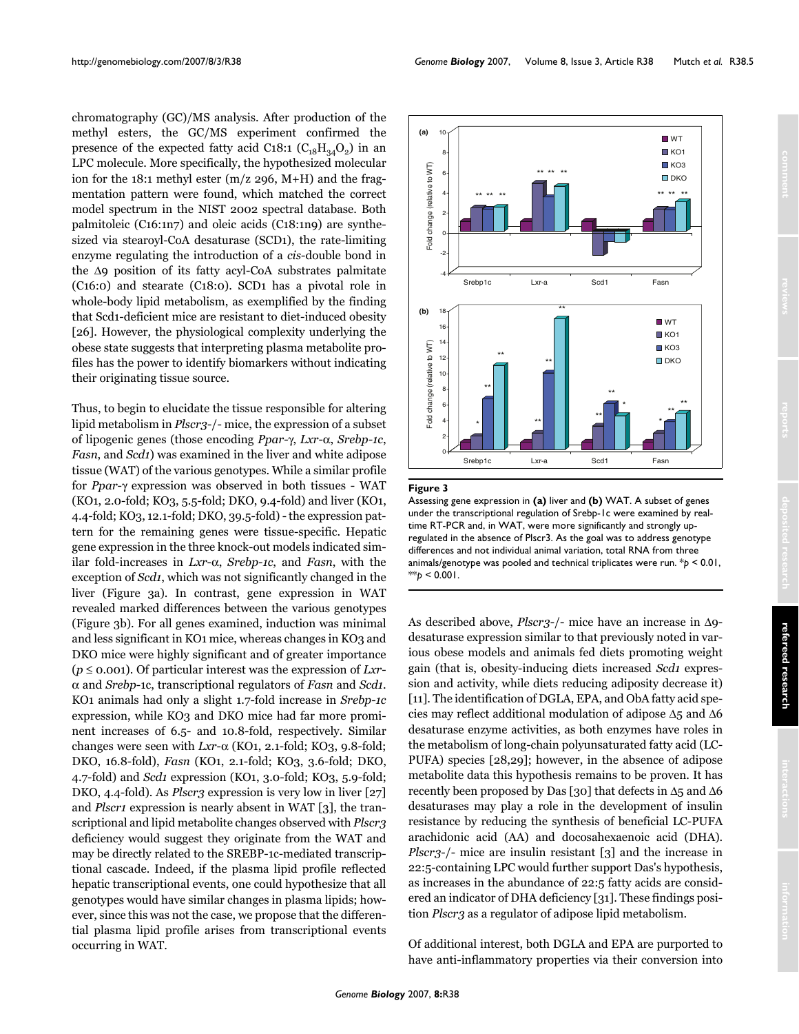chromatography (GC)/MS analysis. After production of the methyl esters, the GC/MS experiment confirmed the presence of the expected fatty acid C18:1  $(C_{18}H_{34}O_2)$  in an LPC molecule. More specifically, the hypothesized molecular ion for the 18:1 methyl ester (m/z 296, M+H) and the fragmentation pattern were found, which matched the correct model spectrum in the NIST 2002 spectral database. Both palmitoleic (C16:1n7) and oleic acids (C18:1n9) are synthesized via stearoyl-CoA desaturase (SCD1), the rate-limiting enzyme regulating the introduction of a *cis*-double bond in the Δ9 position of its fatty acyl-CoA substrates palmitate (C16:0) and stearate (C18:0). SCD1 has a pivotal role in whole-body lipid metabolism, as exemplified by the finding that Scd1-deficient mice are resistant to diet-induced obesity [26]. However, the physiological complexity underlying the obese state suggests that interpreting plasma metabolite profiles has the power to identify biomarkers without indicating their originating tissue source.

Thus, to begin to elucidate the tissue responsible for altering lipid metabolism in *Plscr3*-/- mice, the expression of a subset of lipogenic genes (those encoding *Ppar*-γ, *Lxr*-α, *Srebp-1c*, *Fasn*, and *Scd1*) was examined in the liver and white adipose tissue (WAT) of the various genotypes. While a similar profile for *Ppar*-γ expression was observed in both tissues - WAT (KO1, 2.0-fold; KO3, 5.5-fold; DKO, 9.4-fold) and liver (KO1, 4.4-fold; KO3, 12.1-fold; DKO, 39.5-fold) - the expression pattern for the remaining genes were tissue-specific. Hepatic gene expression in the three knock-out models indicated similar fold-increases in *Lxr*-α, *Srebp-1c*, and *Fasn*, with the exception of *Scd1*, which was not significantly changed in the liver (Figure [3](#page-4-0)a). In contrast, gene expression in WAT revealed marked differences between the various genotypes (Figure [3](#page-4-0)b). For all genes examined, induction was minimal and less significant in KO1 mice, whereas changes in KO3 and DKO mice were highly significant and of greater importance (*p* ≤ 0.001). Of particular interest was the expression of *Lxr*α and *Srebp*-1c, transcriptional regulators of *Fasn* and *Scd1*. KO1 animals had only a slight 1.7-fold increase in *Srebp-1c* expression, while KO3 and DKO mice had far more prominent increases of 6.5- and 10.8-fold, respectively. Similar changes were seen with  $Lxr-\alpha$  (KO1, 2.1-fold; KO3, 9.8-fold; DKO, 16.8-fold), *Fasn* (KO1, 2.1-fold; KO3, 3.6-fold; DKO, 4.7-fold) and *Scd1* expression (KO1, 3.0-fold; KO3, 5.9-fold; DKO, 4.4-fold). As *Plscr3* expression is very low in liver [27] and *Plscr1* expression is nearly absent in WAT [3], the transcriptional and lipid metabolite changes observed with *Plscr3* deficiency would suggest they originate from the WAT and may be directly related to the SREBP-1c-mediated transcriptional cascade. Indeed, if the plasma lipid profile reflected hepatic transcriptional events, one could hypothesize that all genotypes would have similar changes in plasma lipids; however, since this was not the case, we propose that the differential plasma lipid profile arises from transcriptional events occurring in WAT.

http://genomebiology.com/2007/8/3/R38 *Genome Biology* 2007, Volume 8, Issue 3, Article R38 Mutch *et al.* R38.5

<span id="page-4-0"></span>

#### **Figure 3**

Assessing gene expression in **(a)** liver and **(b)** WAT. A subset of genes under the transcriptional regulation of Srebp-1c were examined by realtime RT-PCR and, in WAT, were more significantly and strongly upregulated in the absence of Plscr3. As the goal was to address genotype differences and not individual animal variation, total RNA from three animals/genotype was pooled and technical triplicates were run. \**p* < 0.01,  $*$ *p* < 0.001.

As described above, *Plscr3*-/- mice have an increase in Δ9 desaturase expression similar to that previously noted in various obese models and animals fed diets promoting weight gain (that is, obesity-inducing diets increased *Scd1* expression and activity, while diets reducing adiposity decrease it) [11]. The identification of DGLA, EPA, and ObA fatty acid species may reflect additional modulation of adipose Δ5 and Δ6 desaturase enzyme activities, as both enzymes have roles in the metabolism of long-chain polyunsaturated fatty acid (LC-PUFA) species [28,29]; however, in the absence of adipose metabolite data this hypothesis remains to be proven. It has recently been proposed by Das [30] that defects in Δ5 and Δ6 desaturases may play a role in the development of insulin resistance by reducing the synthesis of beneficial LC-PUFA arachidonic acid (AA) and docosahexaenoic acid (DHA). *Plscr3*-/- mice are insulin resistant [3] and the increase in 22:5-containing LPC would further support Das's hypothesis, as increases in the abundance of 22:5 fatty acids are considered an indicator of DHA deficiency [31]. These findings position *Plscr3* as a regulator of adipose lipid metabolism.

Of additional interest, both DGLA and EPA are purported to have anti-inflammatory properties via their conversion into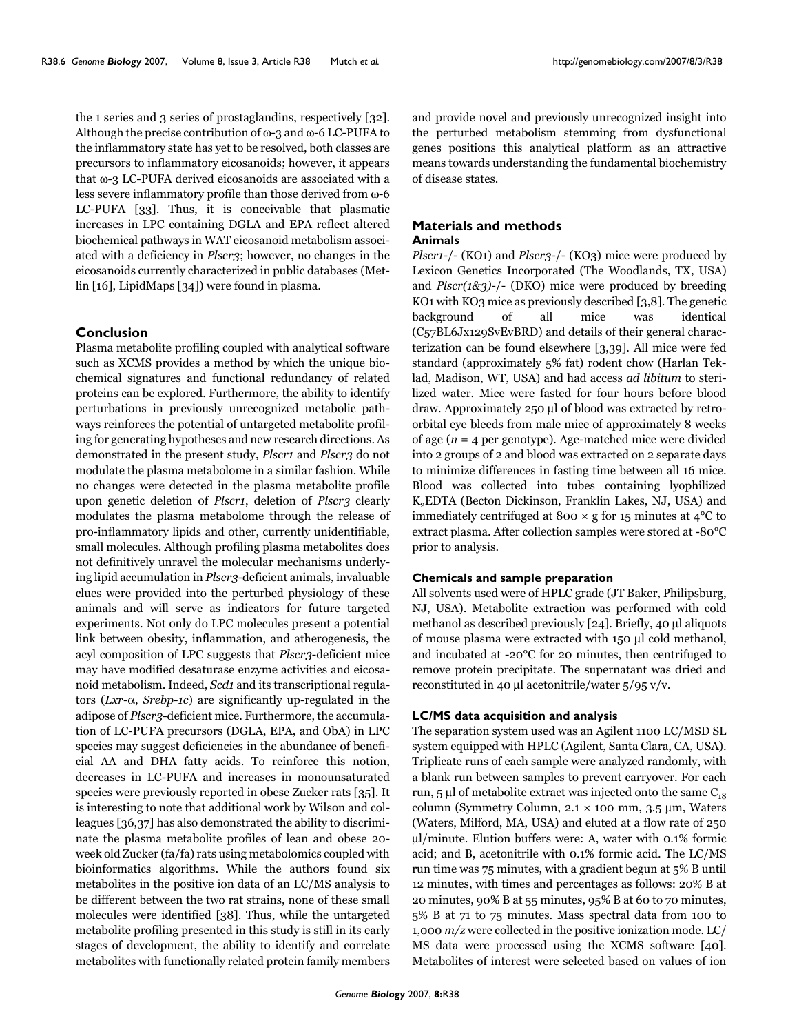the 1 series and 3 series of prostaglandins, respectively [32]. Although the precise contribution of ω-3 and ω-6 LC-PUFA to the inflammatory state has yet to be resolved, both classes are precursors to inflammatory eicosanoids; however, it appears that ω-3 LC-PUFA derived eicosanoids are associated with a less severe inflammatory profile than those derived from ω-6 LC-PUFA [33]. Thus, it is conceivable that plasmatic increases in LPC containing DGLA and EPA reflect altered biochemical pathways in WAT eicosanoid metabolism associated with a deficiency in *Plscr3*; however, no changes in the eicosanoids currently characterized in public databases (Metlin [16], LipidMaps [34]) were found in plasma.

#### **Conclusion**

Plasma metabolite profiling coupled with analytical software such as XCMS provides a method by which the unique biochemical signatures and functional redundancy of related proteins can be explored. Furthermore, the ability to identify perturbations in previously unrecognized metabolic pathways reinforces the potential of untargeted metabolite profiling for generating hypotheses and new research directions. As demonstrated in the present study, *Plscr1* and *Plscr3* do not modulate the plasma metabolome in a similar fashion. While no changes were detected in the plasma metabolite profile upon genetic deletion of *Plscr1*, deletion of *Plscr3* clearly modulates the plasma metabolome through the release of pro-inflammatory lipids and other, currently unidentifiable, small molecules. Although profiling plasma metabolites does not definitively unravel the molecular mechanisms underlying lipid accumulation in *Plscr3*-deficient animals, invaluable clues were provided into the perturbed physiology of these animals and will serve as indicators for future targeted experiments. Not only do LPC molecules present a potential link between obesity, inflammation, and atherogenesis, the acyl composition of LPC suggests that *Plscr3*-deficient mice may have modified desaturase enzyme activities and eicosanoid metabolism. Indeed, *Scd1* and its transcriptional regulators (*Lxr*-α, *Srebp-1c*) are significantly up-regulated in the adipose of *Plscr3*-deficient mice. Furthermore, the accumulation of LC-PUFA precursors (DGLA, EPA, and ObA) in LPC species may suggest deficiencies in the abundance of beneficial AA and DHA fatty acids. To reinforce this notion, decreases in LC-PUFA and increases in monounsaturated species were previously reported in obese Zucker rats [35]. It is interesting to note that additional work by Wilson and colleagues [36,37] has also demonstrated the ability to discriminate the plasma metabolite profiles of lean and obese 20 week old Zucker (fa/fa) rats using metabolomics coupled with bioinformatics algorithms. While the authors found six metabolites in the positive ion data of an LC/MS analysis to be different between the two rat strains, none of these small molecules were identified [38]. Thus, while the untargeted metabolite profiling presented in this study is still in its early stages of development, the ability to identify and correlate metabolites with functionally related protein family members

and provide novel and previously unrecognized insight into the perturbed metabolism stemming from dysfunctional genes positions this analytical platform as an attractive means towards understanding the fundamental biochemistry of disease states.

#### **Materials and methods Animals**

*Plscr1*-/- (KO1) and *Plscr3*-/- (KO3) mice were produced by Lexicon Genetics Incorporated (The Woodlands, TX, USA) and *Plscr(1&3)*-/- (DKO) mice were produced by breeding KO1 with KO3 mice as previously described [3,8]. The genetic background of all mice was identical (C57BL6Jx129SvEvBRD) and details of their general characterization can be found elsewhere [3,39]. All mice were fed standard (approximately 5% fat) rodent chow (Harlan Teklad, Madison, WT, USA) and had access *ad libitum* to sterilized water. Mice were fasted for four hours before blood draw. Approximately 250 μl of blood was extracted by retroorbital eye bleeds from male mice of approximately 8 weeks of age (*n* = 4 per genotype). Age-matched mice were divided into 2 groups of 2 and blood was extracted on 2 separate days to minimize differences in fasting time between all 16 mice. Blood was collected into tubes containing lyophilized K<sub>2</sub>EDTA (Becton Dickinson, Franklin Lakes, NJ, USA) and immediately centrifuged at 800  $\times$  g for 15 minutes at 4 °C to extract plasma. After collection samples were stored at -80°C prior to analysis.

#### **Chemicals and sample preparation**

All solvents used were of HPLC grade (JT Baker, Philipsburg, NJ, USA). Metabolite extraction was performed with cold methanol as described previously [24]. Briefly, 40 μl aliquots of mouse plasma were extracted with 150 μl cold methanol, and incubated at -20°C for 20 minutes, then centrifuged to remove protein precipitate. The supernatant was dried and reconstituted in 40 μl acetonitrile/water 5/95 v/v.

#### **LC/MS data acquisition and analysis**

The separation system used was an Agilent 1100 LC/MSD SL system equipped with HPLC (Agilent, Santa Clara, CA, USA). Triplicate runs of each sample were analyzed randomly, with a blank run between samples to prevent carryover. For each run, 5 μl of metabolite extract was injected onto the same  $C_{18}$ column (Symmetry Column, 2.1 × 100 mm, 3.5 μm, Waters (Waters, Milford, MA, USA) and eluted at a flow rate of 250 μl/minute. Elution buffers were: A, water with 0.1% formic acid; and B, acetonitrile with 0.1% formic acid. The LC/MS run time was 75 minutes, with a gradient begun at 5% B until 12 minutes, with times and percentages as follows: 20% B at 20 minutes, 90% B at 55 minutes, 95% B at 60 to 70 minutes, 5% B at 71 to 75 minutes. Mass spectral data from 100 to 1,000 *m/z* were collected in the positive ionization mode. LC/ MS data were processed using the XCMS software [40]. Metabolites of interest were selected based on values of ion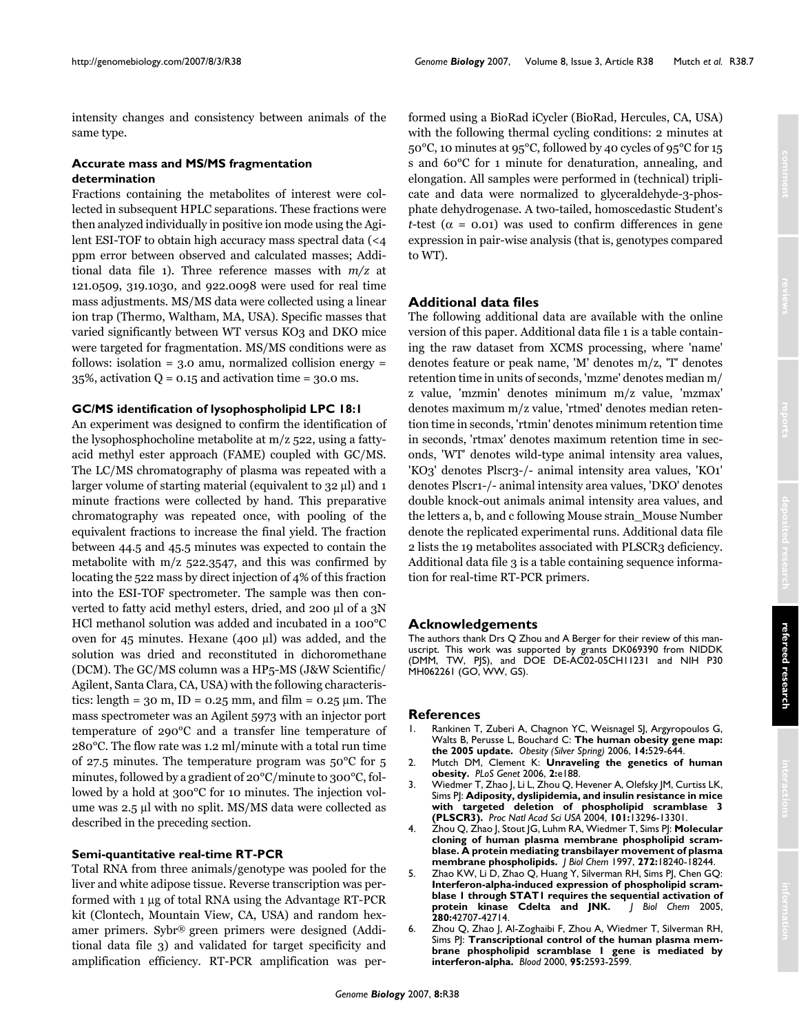intensity changes and consistency between animals of the same type.

### **Accurate mass and MS/MS fragmentation determination**

Fractions containing the metabolites of interest were collected in subsequent HPLC separations. These fractions were then analyzed individually in positive ion mode using the Agilent ESI-TOF to obtain high accuracy mass spectral data (<4 ppm error between observed and calculated masses; Additional data file 1). Three reference masses with *m/z* at 121.0509, 319.1030, and 922.0098 were used for real time mass adjustments. MS/MS data were collected using a linear ion trap (Thermo, Waltham, MA, USA). Specific masses that varied significantly between WT versus KO3 and DKO mice were targeted for fragmentation. MS/MS conditions were as follows: isolation  $= 3.0$  amu, normalized collision energy  $=$ 35%, activation  $Q = 0.15$  and activation time = 30.0 ms.

#### **GC/MS identification of lysophospholipid LPC 18:1**

An experiment was designed to confirm the identification of the lysophosphocholine metabolite at m/z 522, using a fattyacid methyl ester approach (FAME) coupled with GC/MS. The LC/MS chromatography of plasma was repeated with a larger volume of starting material (equivalent to 32 μl) and 1 minute fractions were collected by hand. This preparative chromatography was repeated once, with pooling of the equivalent fractions to increase the final yield. The fraction between 44.5 and 45.5 minutes was expected to contain the metabolite with  $m/z$  522.3547, and this was confirmed by locating the 522 mass by direct injection of 4% of this fraction into the ESI-TOF spectrometer. The sample was then converted to fatty acid methyl esters, dried, and 200 μl of a 3N HCl methanol solution was added and incubated in a 100°C oven for 45 minutes. Hexane (400 μl) was added, and the solution was dried and reconstituted in dichoromethane (DCM). The GC/MS column was a HP5-MS (J&W Scientific/ Agilent, Santa Clara, CA, USA) with the following characteristics: length =  $30 \text{ m}$ , ID =  $0.25 \text{ mm}$ , and film =  $0.25 \text{ }\mu\text{m}$ . The mass spectrometer was an Agilent 5973 with an injector port temperature of 290°C and a transfer line temperature of 280°C. The flow rate was 1.2 ml/minute with a total run time of 27.5 minutes. The temperature program was 50°C for 5 minutes, followed by a gradient of 20°C/minute to 300°C, followed by a hold at 300°C for 10 minutes. The injection volume was 2.5 μl with no split. MS/MS data were collected as described in the preceding section.

#### **Semi-quantitative real-time RT-PCR**

Total RNA from three animals/genotype was pooled for the liver and white adipose tissue. Reverse transcription was performed with 1 μg of total RNA using the Advantage RT-PCR kit (Clontech, Mountain View, CA, USA) and random hexamer primers. Sybr® green primers were designed (Additional data file 3) and validated for target specificity and amplification efficiency. RT-PCR amplification was performed using a BioRad iCycler (BioRad, Hercules, CA, USA) with the following thermal cycling conditions: 2 minutes at 50°C, 10 minutes at 95°C, followed by 40 cycles of 95°C for 15 s and 60°C for 1 minute for denaturation, annealing, and elongation. All samples were performed in (technical) triplicate and data were normalized to glyceraldehyde-3-phosphate dehydrogenase. A two-tailed, homoscedastic Student's *t*-test ( $\alpha$  = 0.01) was used to confirm differences in gene expression in pair-wise analysis (that is, genotypes compared to WT).

# **Additional data files**

The following additional data are available with the online version of this paper. Additional data file 1 is a table containing the raw dataset from XCMS processing, where 'name' denotes feature or peak name, 'M' denotes m/z, 'T' denotes retention time in units of seconds, 'mzme' denotes median m/ z value, 'mzmin' denotes minimum m/z value, 'mzmax' denotes maximum m/z value, 'rtmed' denotes median retention time in seconds, 'rtmin' denotes minimum retention time in seconds, 'rtmax' denotes maximum retention time in seconds, 'WT' denotes wild-type animal intensity area values, 'KO3' denotes Plscr3-/- animal intensity area values, 'KO1' denotes Plscr1-/- animal intensity area values, 'DKO' denotes double knock-out animals animal intensity area values, and the letters a, b, and c following Mouse strain\_Mouse Number denote the replicated experimental runs. Additional data file 2 lists the 19 metabolites associated with PLSCR3 deficiency. Additional data file 3 is a table containing sequence information for real-time RT-PCR primers.

#### **Acknowledgements**

The authors thank Drs Q Zhou and A Berger for their review of this manuscript. This work was supported by grants DK069390 from NIDDK (DMM, TW, PJS), and DOE DE-AC02-05CH11231 and NIH P30 MH062261 (GO, WW, GS).

#### **References**

- 1. Rankinen T, Zuberi A, Chagnon YC, Weisnagel SJ, Argyropoulos G, Walts B, Perusse L, Bouchard C: **[The human obesity gene map:](http://www.ncbi.nlm.nih.gov/entrez/query.fcgi?cmd=Retrieve&db=PubMed&dopt=Abstract&list_uids=16741264) [the 2005 update.](http://www.ncbi.nlm.nih.gov/entrez/query.fcgi?cmd=Retrieve&db=PubMed&dopt=Abstract&list_uids=16741264)** *Obesity (Silver Spring)* 2006, **14:**529-644.
- 2. Mutch DM, Clement K: **[Unraveling the genetics of human](http://www.ncbi.nlm.nih.gov/entrez/query.fcgi?cmd=Retrieve&db=PubMed&dopt=Abstract&list_uids=17196040) [obesity.](http://www.ncbi.nlm.nih.gov/entrez/query.fcgi?cmd=Retrieve&db=PubMed&dopt=Abstract&list_uids=17196040)** *PLoS Genet* 2006, **2:**e188.
- 3. Wiedmer T, Zhao J, Li L, Zhou Q, Hevener A, Olefsky JM, Curtiss LK, Sims PJ: **[Adiposity, dyslipidemia, and insulin resistance in mice](http://www.ncbi.nlm.nih.gov/entrez/query.fcgi?cmd=Retrieve&db=PubMed&dopt=Abstract&list_uids=15328404) [with targeted deletion of phospholipid scramblase 3](http://www.ncbi.nlm.nih.gov/entrez/query.fcgi?cmd=Retrieve&db=PubMed&dopt=Abstract&list_uids=15328404) [\(PLSCR3\).](http://www.ncbi.nlm.nih.gov/entrez/query.fcgi?cmd=Retrieve&db=PubMed&dopt=Abstract&list_uids=15328404)** *Proc Natl Acad Sci USA* 2004, **101:**13296-13301.
- 4. Zhou Q, Zhao J, Stout JG, Luhm RA, Wiedmer T, Sims PJ: **[Molecular](http://www.ncbi.nlm.nih.gov/entrez/query.fcgi?cmd=Retrieve&db=PubMed&dopt=Abstract&list_uids=9218461) [cloning of human plasma membrane phospholipid scram](http://www.ncbi.nlm.nih.gov/entrez/query.fcgi?cmd=Retrieve&db=PubMed&dopt=Abstract&list_uids=9218461)blase. A protein mediating transbilayer movement of plasma [membrane phospholipids.](http://www.ncbi.nlm.nih.gov/entrez/query.fcgi?cmd=Retrieve&db=PubMed&dopt=Abstract&list_uids=9218461)** *J Biol Chem* 1997, **272:**18240-18244.
- 5. Zhao KW, Li D, Zhao Q, Huang Y, Silverman RH, Sims PJ, Chen GQ: **[Interferon-alpha-induced expression of phospholipid scram](http://www.ncbi.nlm.nih.gov/entrez/query.fcgi?cmd=Retrieve&db=PubMed&dopt=Abstract&list_uids=16260419)blase 1 through STAT1 requires the sequential activation of protein kinase Cdelta and JNK.** / Biol Chem 2005, [protein kinase Cdelta and JNK.](http://www.ncbi.nlm.nih.gov/entrez/query.fcgi?cmd=Retrieve&db=PubMed&dopt=Abstract&list_uids=16260419) **280:**42707-42714.
- 6. Zhou Q, Zhao J, Al-Zoghaibi F, Zhou A, Wiedmer T, Silverman RH, Sims PJ: **[Transcriptional control of the human plasma mem](http://www.ncbi.nlm.nih.gov/entrez/query.fcgi?cmd=Retrieve&db=PubMed&dopt=Abstract&list_uids=10753839)[brane phospholipid scramblase 1 gene is mediated by](http://www.ncbi.nlm.nih.gov/entrez/query.fcgi?cmd=Retrieve&db=PubMed&dopt=Abstract&list_uids=10753839) [interferon-alpha.](http://www.ncbi.nlm.nih.gov/entrez/query.fcgi?cmd=Retrieve&db=PubMed&dopt=Abstract&list_uids=10753839)** *Blood* 2000, **95:**2593-2599.